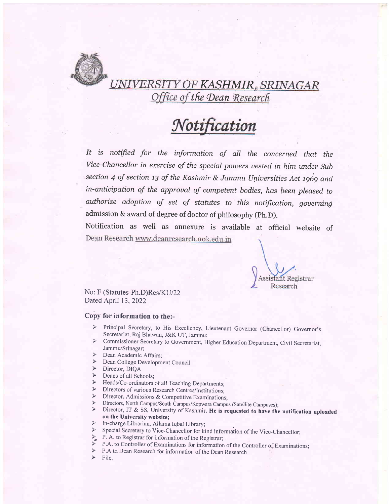

## UNIVERSITY OF KASHMIR, SRINAGAR Office of the Dean Research

# Notification

It is notified for the information of aII the concerned that the Vice-Chancellor in exercise of the special powers vested in him under Sub section 4 of section 13 of the Kashmir & Jammu Universities Act 1969 and in-anticipation of the approual of competent bodies, has been pleased. to authorize adoption of set of statutes to this notification, gouerning admission & award of degree of doctor of philosophy (ph.D).

Notification as well as annexure is available at official website of Dean Research www.deanresearch.uok.edu.in

**Assistant Registrar** Research

No: F (Statutes-Ph.D)Res/KU/22 Dated April 13, 2022

#### Copy for information to the:-

- Principal Secretary, to His Excellency, Lieutenant Governor (Chancellor) Governor's Secretariat, Raj Bhawan, J&K UT, Jammu;<br>Commissioner Secretary to Government, Higher Education Department, Civil Secretariat,  $\blacktriangle$
- $\blacktriangleright$ Jammu/Srinagar;
- Dean Academic Affairs;
- > Dean College Development Council
- > Director, DIQA
- $\triangleright$  Deans of all Schools;
- > Heads/Co-ordinators of all Teaching Departments;
- $\triangleright$ Directors of various Research Centres/Institutions;
- 
- 
- FRECTORE Directors, Admissions & Competitive Examinations;<br>
FRECTORS, North Campus/South Campus/Kapwara Campus (Satellite Campuses);<br>
FRECTORE Director, IT & SS, University of Kashmir. He is requested to have the notifica on the University website;<br> $\triangleright$  In-charge Librarian, Allama Iqbal Library;
- 
- 
- > Special Secretary to Vice-Chancellor for kind information of the Vice-Chancellor;<br>
→ P. A. to Registrar for information of the Registrar;<br>
→ P.A. to Controller of Examinations for information of the Controller of Examin
- $\blacktriangleright$
- P.A to Dean Research for information of the Dean Research
- $\blacktriangleright$ File.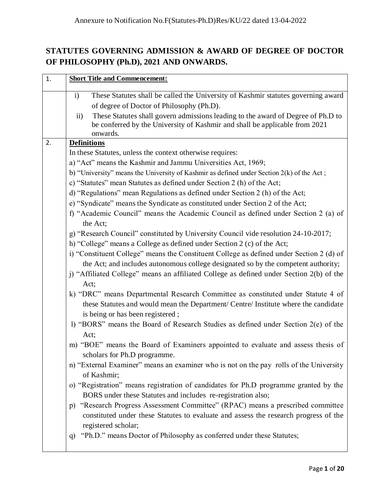## **STATUTES GOVERNING ADMISSION & AWARD OF DEGREE OF DOCTOR OF PHILOSOPHY (Ph.D), 2021 AND ONWARDS.**

| 1. | <b>Short Title and Commencement:</b>                                                                                                                                                                                                                                                                                           |
|----|--------------------------------------------------------------------------------------------------------------------------------------------------------------------------------------------------------------------------------------------------------------------------------------------------------------------------------|
|    | These Statutes shall be called the University of Kashmir statutes governing award<br>$\mathbf{i}$<br>of degree of Doctor of Philosophy (Ph.D).<br>These Statutes shall govern admissions leading to the award of Degree of Ph.D to<br>$\rm ii)$<br>be conferred by the University of Kashmir and shall be applicable from 2021 |
|    | onwards.                                                                                                                                                                                                                                                                                                                       |
| 2. | <b>Definitions</b>                                                                                                                                                                                                                                                                                                             |
|    | In these Statutes, unless the context otherwise requires:<br>a) "Act" means the Kashmir and Jammu Universities Act, 1969;                                                                                                                                                                                                      |
|    |                                                                                                                                                                                                                                                                                                                                |
|    | b) "University" means the University of Kashmir as defined under Section 2(k) of the Act;                                                                                                                                                                                                                                      |
|    | c) "Statutes" mean Statutes as defined under Section 2 (h) of the Act;                                                                                                                                                                                                                                                         |
|    | d) "Regulations" mean Regulations as defined under Section 2 (h) of the Act;                                                                                                                                                                                                                                                   |
|    | e) "Syndicate" means the Syndicate as constituted under Section 2 of the Act;                                                                                                                                                                                                                                                  |
|    | f) "Academic Council" means the Academic Council as defined under Section 2 (a) of<br>the Act;                                                                                                                                                                                                                                 |
|    | g) "Research Council" constituted by University Council vide resolution 24-10-2017;                                                                                                                                                                                                                                            |
|    | h) "College" means a College as defined under Section 2 (c) of the Act;                                                                                                                                                                                                                                                        |
|    | i) "Constituent College" means the Constituent College as defined under Section 2 (d) of                                                                                                                                                                                                                                       |
|    | the Act; and includes autonomous college designated so by the competent authority;                                                                                                                                                                                                                                             |
|    | j) "Affiliated College" means an affiliated College as defined under Section 2(b) of the                                                                                                                                                                                                                                       |
|    | Act;                                                                                                                                                                                                                                                                                                                           |
|    | k) "DRC" means Departmental Research Committee as constituted under Statute 4 of<br>these Statutes and would mean the Department/ Centre/ Institute where the candidate<br>is being or has been registered;                                                                                                                    |
|    | l) "BORS" means the Board of Research Studies as defined under Section 2(e) of the                                                                                                                                                                                                                                             |
|    | Act;                                                                                                                                                                                                                                                                                                                           |
|    | m) "BOE" means the Board of Examiners appointed to evaluate and assess thesis of<br>scholars for Ph.D programme.                                                                                                                                                                                                               |
|    | n) "External Examiner" means an examiner who is not on the pay rolls of the University<br>of Kashmir;                                                                                                                                                                                                                          |
|    | o) "Registration" means registration of candidates for Ph.D programme granted by the<br>BORS under these Statutes and includes re-registration also;                                                                                                                                                                           |
|    | p) "Research Progress Assessment Committee" (RPAC) means a prescribed committee<br>constituted under these Statutes to evaluate and assess the research progress of the<br>registered scholar;                                                                                                                                 |
|    | "Ph.D." means Doctor of Philosophy as conferred under these Statutes;<br>q)                                                                                                                                                                                                                                                    |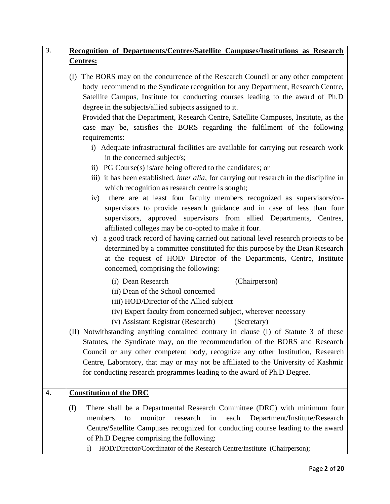|     | Recognition of Departments/Centres/Satellite Campuses/Institutions as Research                                                                                                                                                                                                                                                                                                                                                                                                                                                                                                                                                                                                                                                                                                                                                                                                                                                                                                                                                                                                                                                                                                                                                                                                                                                                                                                                                        |
|-----|---------------------------------------------------------------------------------------------------------------------------------------------------------------------------------------------------------------------------------------------------------------------------------------------------------------------------------------------------------------------------------------------------------------------------------------------------------------------------------------------------------------------------------------------------------------------------------------------------------------------------------------------------------------------------------------------------------------------------------------------------------------------------------------------------------------------------------------------------------------------------------------------------------------------------------------------------------------------------------------------------------------------------------------------------------------------------------------------------------------------------------------------------------------------------------------------------------------------------------------------------------------------------------------------------------------------------------------------------------------------------------------------------------------------------------------|
|     | <b>Centres:</b>                                                                                                                                                                                                                                                                                                                                                                                                                                                                                                                                                                                                                                                                                                                                                                                                                                                                                                                                                                                                                                                                                                                                                                                                                                                                                                                                                                                                                       |
|     | (I) The BORS may on the concurrence of the Research Council or any other competent<br>body recommend to the Syndicate recognition for any Department, Research Centre,<br>Satellite Campus, Institute for conducting courses leading to the award of Ph.D<br>degree in the subjects/allied subjects assigned to it.<br>Provided that the Department, Research Centre, Satellite Campuses, Institute, as the<br>case may be, satisfies the BORS regarding the fulfilment of the following<br>requirements:<br>i) Adequate infrastructural facilities are available for carrying out research work<br>in the concerned subject/s;<br>ii) PG Course(s) is/are being offered to the candidates; or<br>iii) it has been established, <i>inter alia</i> , for carrying out research in the discipline in<br>which recognition as research centre is sought;<br>iv) there are at least four faculty members recognized as supervisors/co-<br>supervisors to provide research guidance and in case of less than four<br>supervisors, approved supervisors from allied Departments, Centres,<br>affiliated colleges may be co-opted to make it four.<br>a good track record of having carried out national level research projects to be<br>V)<br>determined by a committee constituted for this purpose by the Dean Research<br>at the request of HOD/ Director of the Departments, Centre, Institute<br>concerned, comprising the following: |
|     | (i) Dean Research<br>(Chairperson)<br>(ii) Dean of the School concerned<br>(iii) HOD/Director of the Allied subject<br>(iv) Expert faculty from concerned subject, wherever necessary<br>(v) Assistant Registrar (Research)<br>(Secretary)<br>(II) Notwithstanding anything contained contrary in clause (I) of Statute 3 of these<br>Statutes, the Syndicate may, on the recommendation of the BORS and Research<br>Council or any other competent body, recognize any other Institution, Research<br>Centre, Laboratory, that may or may not be affiliated to the University of Kashmir<br>for conducting research programmes leading to the award of Ph.D Degree.                                                                                                                                                                                                                                                                                                                                                                                                                                                                                                                                                                                                                                                                                                                                                                  |
|     | <b>Constitution of the DRC</b>                                                                                                                                                                                                                                                                                                                                                                                                                                                                                                                                                                                                                                                                                                                                                                                                                                                                                                                                                                                                                                                                                                                                                                                                                                                                                                                                                                                                        |
| (I) | There shall be a Departmental Research Committee (DRC) with minimum four<br>monitor<br>Department/Institute/Research<br>members<br>research<br>in<br>each<br>to<br>Centre/Satellite Campuses recognized for conducting course leading to the award<br>of Ph.D Degree comprising the following:<br>HOD/Director/Coordinator of the Research Centre/Institute (Chairperson);<br>$\mathbf{i}$                                                                                                                                                                                                                                                                                                                                                                                                                                                                                                                                                                                                                                                                                                                                                                                                                                                                                                                                                                                                                                            |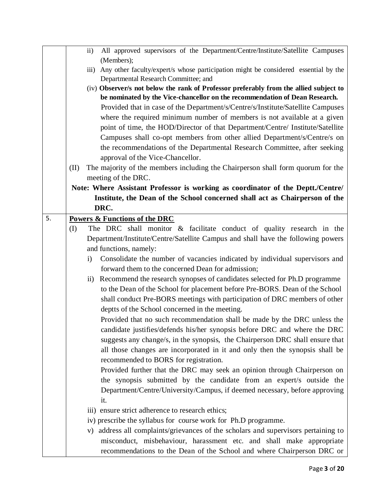|    |      | All approved supervisors of the Department/Centre/Institute/Satellite Campuses<br>$\rm ii)$                                |
|----|------|----------------------------------------------------------------------------------------------------------------------------|
|    |      | (Members);<br>Any other faculty/expert/s whose participation might be considered essential by the<br>$\overline{111}$ )    |
|    |      | Departmental Research Committee; and                                                                                       |
|    |      | (iv) Observer/s not below the rank of Professor preferably from the allied subject to                                      |
|    |      | be nominated by the Vice-chancellor on the recommendation of Dean Research.                                                |
|    |      | Provided that in case of the Department/s/Centre/s/Institute/Satellite Campuses                                            |
|    |      | where the required minimum number of members is not available at a given                                                   |
|    |      | point of time, the HOD/Director of that Department/Centre/ Institute/Satellite                                             |
|    |      | Campuses shall co-opt members from other allied Department/s/Centre/s on                                                   |
|    |      | the recommendations of the Departmental Research Committee, after seeking                                                  |
|    |      | approval of the Vice-Chancellor.                                                                                           |
|    | (II) | The majority of the members including the Chairperson shall form quorum for the                                            |
|    |      | meeting of the DRC.                                                                                                        |
|    |      | Note: Where Assistant Professor is working as coordinator of the Deptt./Centre/                                            |
|    |      | Institute, the Dean of the School concerned shall act as Chairperson of the                                                |
|    |      | DRC.                                                                                                                       |
| 5. |      | Powers & Functions of the DRC                                                                                              |
|    | (I)  | The DRC shall monitor & facilitate conduct of quality research in the                                                      |
|    |      | Department/Institute/Centre/Satellite Campus and shall have the following powers                                           |
|    |      | and functions, namely:                                                                                                     |
|    |      | Consolidate the number of vacancies indicated by individual supervisors and<br>$\mathbf{i}$                                |
|    |      | forward them to the concerned Dean for admission;                                                                          |
|    |      | Recommend the research synopses of candidates selected for Ph.D programme<br>$\overline{11})$                              |
|    |      | to the Dean of the School for placement before Pre-BORS. Dean of the School                                                |
|    |      | shall conduct Pre-BORS meetings with participation of DRC members of other                                                 |
|    |      | deptts of the School concerned in the meeting.<br>Provided that no such recommendation shall be made by the DRC unless the |
|    |      | candidate justifies/defends his/her synopsis before DRC and where the DRC                                                  |
|    |      | suggests any change/s, in the synopsis, the Chairperson DRC shall ensure that                                              |
|    |      | all those changes are incorporated in it and only then the synopsis shall be                                               |
|    |      | recommended to BORS for registration.                                                                                      |
|    |      | Provided further that the DRC may seek an opinion through Chairperson on                                                   |
|    |      | the synopsis submitted by the candidate from an expert/s outside the                                                       |
|    |      | Department/Centre/University/Campus, if deemed necessary, before approving                                                 |
|    |      | it.                                                                                                                        |
|    |      | iii) ensure strict adherence to research ethics;                                                                           |
|    |      | iv) prescribe the syllabus for course work for Ph.D programme.                                                             |
|    |      | v) address all complaints/grievances of the scholars and supervisors pertaining to                                         |
|    |      | misconduct, misbehaviour, harassment etc. and shall make appropriate                                                       |
|    |      | recommendations to the Dean of the School and where Chairperson DRC or                                                     |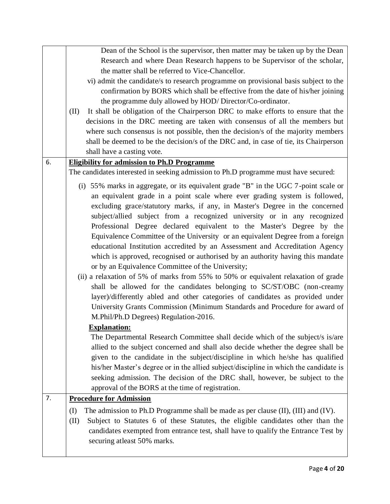|    | Dean of the School is the supervisor, then matter may be taken up by the Dean<br>Research and where Dean Research happens to be Supervisor of the scholar,<br>the matter shall be referred to Vice-Chancellor.                                                                                                                                                                                                                                                                                                                                                                                                                                                                                                                                                                                                                                                                                                                                                                                                                                                                                                   |
|----|------------------------------------------------------------------------------------------------------------------------------------------------------------------------------------------------------------------------------------------------------------------------------------------------------------------------------------------------------------------------------------------------------------------------------------------------------------------------------------------------------------------------------------------------------------------------------------------------------------------------------------------------------------------------------------------------------------------------------------------------------------------------------------------------------------------------------------------------------------------------------------------------------------------------------------------------------------------------------------------------------------------------------------------------------------------------------------------------------------------|
|    | vi) admit the candidate/s to research programme on provisional basis subject to the<br>confirmation by BORS which shall be effective from the date of his/her joining                                                                                                                                                                                                                                                                                                                                                                                                                                                                                                                                                                                                                                                                                                                                                                                                                                                                                                                                            |
|    | the programme duly allowed by HOD/Director/Co-ordinator.                                                                                                                                                                                                                                                                                                                                                                                                                                                                                                                                                                                                                                                                                                                                                                                                                                                                                                                                                                                                                                                         |
|    | It shall be obligation of the Chairperson DRC to make efforts to ensure that the<br>(II)                                                                                                                                                                                                                                                                                                                                                                                                                                                                                                                                                                                                                                                                                                                                                                                                                                                                                                                                                                                                                         |
|    | decisions in the DRC meeting are taken with consensus of all the members but<br>where such consensus is not possible, then the decision/s of the majority members                                                                                                                                                                                                                                                                                                                                                                                                                                                                                                                                                                                                                                                                                                                                                                                                                                                                                                                                                |
|    | shall be deemed to be the decision/s of the DRC and, in case of tie, its Chairperson                                                                                                                                                                                                                                                                                                                                                                                                                                                                                                                                                                                                                                                                                                                                                                                                                                                                                                                                                                                                                             |
|    | shall have a casting vote.                                                                                                                                                                                                                                                                                                                                                                                                                                                                                                                                                                                                                                                                                                                                                                                                                                                                                                                                                                                                                                                                                       |
| 6. | <b>Eligibility for admission to Ph.D Programme</b>                                                                                                                                                                                                                                                                                                                                                                                                                                                                                                                                                                                                                                                                                                                                                                                                                                                                                                                                                                                                                                                               |
|    | The candidates interested in seeking admission to Ph.D programme must have secured:                                                                                                                                                                                                                                                                                                                                                                                                                                                                                                                                                                                                                                                                                                                                                                                                                                                                                                                                                                                                                              |
|    | (i) 55% marks in aggregate, or its equivalent grade "B" in the UGC 7-point scale or<br>an equivalent grade in a point scale where ever grading system is followed,<br>excluding grace/statutory marks, if any, in Master's Degree in the concerned<br>subject/allied subject from a recognized university or in any recognized<br>Professional Degree declared equivalent to the Master's Degree by the<br>Equivalence Committee of the University or an equivalent Degree from a foreign<br>educational Institution accredited by an Assessment and Accreditation Agency<br>which is approved, recognised or authorised by an authority having this mandate<br>or by an Equivalence Committee of the University;<br>(ii) a relaxation of 5% of marks from 55% to 50% or equivalent relaxation of grade<br>shall be allowed for the candidates belonging to SC/ST/OBC (non-creamy<br>layer)/differently abled and other categories of candidates as provided under<br>University Grants Commission (Minimum Standards and Procedure for award of<br>M.Phil/Ph.D Degrees) Regulation-2016.<br><b>Explanation:</b> |
|    | The Departmental Research Committee shall decide which of the subject/s is/are<br>allied to the subject concerned and shall also decide whether the degree shall be<br>given to the candidate in the subject/discipline in which he/she has qualified                                                                                                                                                                                                                                                                                                                                                                                                                                                                                                                                                                                                                                                                                                                                                                                                                                                            |
|    | his/her Master's degree or in the allied subject/discipline in which the candidate is                                                                                                                                                                                                                                                                                                                                                                                                                                                                                                                                                                                                                                                                                                                                                                                                                                                                                                                                                                                                                            |
|    | seeking admission. The decision of the DRC shall, however, be subject to the                                                                                                                                                                                                                                                                                                                                                                                                                                                                                                                                                                                                                                                                                                                                                                                                                                                                                                                                                                                                                                     |
|    | approval of the BORS at the time of registration.                                                                                                                                                                                                                                                                                                                                                                                                                                                                                                                                                                                                                                                                                                                                                                                                                                                                                                                                                                                                                                                                |
| 7. | <b>Procedure for Admission</b>                                                                                                                                                                                                                                                                                                                                                                                                                                                                                                                                                                                                                                                                                                                                                                                                                                                                                                                                                                                                                                                                                   |
|    | The admission to Ph.D Programme shall be made as per clause (II), (III) and (IV).<br>(I)<br>Subject to Statutes 6 of these Statutes, the eligible candidates other than the<br>(II)<br>candidates exempted from entrance test, shall have to qualify the Entrance Test by<br>securing at least 50% marks.                                                                                                                                                                                                                                                                                                                                                                                                                                                                                                                                                                                                                                                                                                                                                                                                        |
|    |                                                                                                                                                                                                                                                                                                                                                                                                                                                                                                                                                                                                                                                                                                                                                                                                                                                                                                                                                                                                                                                                                                                  |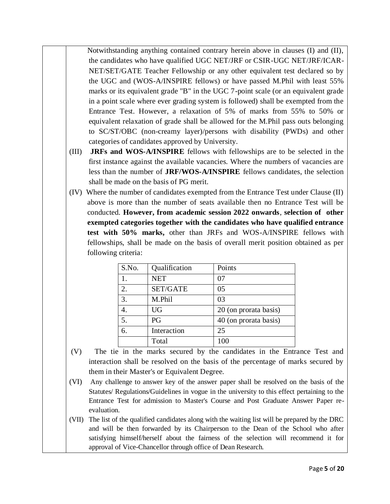Notwithstanding anything contained contrary herein above in clauses (I) and (II), the candidates who have qualified UGC NET/JRF or CSIR-UGC NET/JRF/ICAR-NET/SET/GATE Teacher Fellowship or any other equivalent test declared so by the UGC and (WOS-A/INSPIRE fellows) or have passed M.Phil with least 55% marks or its equivalent grade "B" in the UGC 7-point scale (or an equivalent grade in a point scale where ever grading system is followed) shall be exempted from the Entrance Test. However, a relaxation of 5% of marks from 55% to 50% or equivalent relaxation of grade shall be allowed for the M.Phil pass outs belonging to SC/ST/OBC (non-creamy layer)/persons with disability (PWDs) and other categories of candidates approved by University.

- (III) **JRFs and WOS-A/INSPIRE** fellows with fellowships are to be selected in the first instance against the available vacancies. Where the numbers of vacancies are less than the number of **JRF/WOS-A/INSPIRE** fellows candidates, the selection shall be made on the basis of PG merit.
- (IV) Where the number of candidates exempted from the Entrance Test under Clause (II) above is more than the number of seats available then no Entrance Test will be conducted. **However, from academic session 2022 onwards**, **selection of other exempted categories together with the candidates who have qualified entrance test with 50% marks,** other than JRFs and WOS-A/INSPIRE fellows with fellowships, shall be made on the basis of overall merit position obtained as per following criteria:

| S.No. | Qualification | Points                |
|-------|---------------|-----------------------|
| 1.    | <b>NET</b>    | 07                    |
| 2.    | SET/GATE      | 05                    |
| 3.    | M.Phil        | 03                    |
|       | <b>UG</b>     | 20 (on prorata basis) |
| 5.    | PG            | 40 (on prorata basis) |
| 6.    | Interaction   | 25                    |
|       | Total         | 100                   |

- (V) The tie in the marks secured by the candidates in the Entrance Test and interaction shall be resolved on the basis of the percentage of marks secured by them in their Master's or Equivalent Degree.
- (VI) Any challenge to answer key of the answer paper shall be resolved on the basis of the Statutes/ Regulations/Guidelines in vogue in the university to this effect pertaining to the Entrance Test for admission to Master's Course and Post Graduate Answer Paper reevaluation.
- (VII) The list of the qualified candidates along with the waiting list will be prepared by the DRC and will be then forwarded by its Chairperson to the Dean of the School who after satisfying himself/herself about the fairness of the selection will recommend it for approval of Vice-Chancellor through office of Dean Research.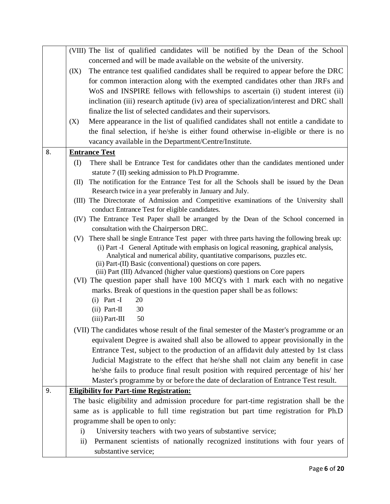|    | (VIII) The list of qualified candidates will be notified by the Dean of the School                                                                                                    |  |  |  |  |  |  |  |  |  |
|----|---------------------------------------------------------------------------------------------------------------------------------------------------------------------------------------|--|--|--|--|--|--|--|--|--|
|    | concerned and will be made available on the website of the university.                                                                                                                |  |  |  |  |  |  |  |  |  |
|    | The entrance test qualified candidates shall be required to appear before the DRC<br>(IX)                                                                                             |  |  |  |  |  |  |  |  |  |
|    | for common interaction along with the exempted candidates other than JRFs and                                                                                                         |  |  |  |  |  |  |  |  |  |
|    | WoS and INSPIRE fellows with fellowships to ascertain (i) student interest (ii)                                                                                                       |  |  |  |  |  |  |  |  |  |
|    | inclination (iii) research aptitude (iv) area of specialization/interest and DRC shall                                                                                                |  |  |  |  |  |  |  |  |  |
|    | finalize the list of selected candidates and their supervisors.                                                                                                                       |  |  |  |  |  |  |  |  |  |
|    | Mere appearance in the list of qualified candidates shall not entitle a candidate to<br>(X)                                                                                           |  |  |  |  |  |  |  |  |  |
|    | the final selection, if he/she is either found otherwise in-eligible or there is no                                                                                                   |  |  |  |  |  |  |  |  |  |
|    | vacancy available in the Department/Centre/Institute.                                                                                                                                 |  |  |  |  |  |  |  |  |  |
| 8. | <b>Entrance Test</b>                                                                                                                                                                  |  |  |  |  |  |  |  |  |  |
|    | (I)<br>There shall be Entrance Test for candidates other than the candidates mentioned under                                                                                          |  |  |  |  |  |  |  |  |  |
|    | statute 7 (II) seeking admission to Ph.D Programme.                                                                                                                                   |  |  |  |  |  |  |  |  |  |
|    | The notification for the Entrance Test for all the Schools shall be issued by the Dean<br>(II)                                                                                        |  |  |  |  |  |  |  |  |  |
|    | Research twice in a year preferably in January and July.                                                                                                                              |  |  |  |  |  |  |  |  |  |
|    | (III) The Directorate of Admission and Competitive examinations of the University shall                                                                                               |  |  |  |  |  |  |  |  |  |
|    | conduct Entrance Test for eligible candidates.                                                                                                                                        |  |  |  |  |  |  |  |  |  |
|    | (IV) The Entrance Test Paper shall be arranged by the Dean of the School concerned in                                                                                                 |  |  |  |  |  |  |  |  |  |
|    | consultation with the Chairperson DRC.                                                                                                                                                |  |  |  |  |  |  |  |  |  |
|    | (V) There shall be single Entrance Test paper with three parts having the following break up:<br>(i) Part -I General Aptitude with emphasis on logical reasoning, graphical analysis, |  |  |  |  |  |  |  |  |  |
|    | Analytical and numerical ability, quantitative comparisons, puzzles etc.                                                                                                              |  |  |  |  |  |  |  |  |  |
|    | (ii) Part-(II) Basic (conventional) questions on core papers.                                                                                                                         |  |  |  |  |  |  |  |  |  |
|    | (iii) Part (III) Advanced (higher value questions) questions on Core papers                                                                                                           |  |  |  |  |  |  |  |  |  |
|    | (VI) The question paper shall have 100 MCQ's with 1 mark each with no negative                                                                                                        |  |  |  |  |  |  |  |  |  |
|    | marks. Break of questions in the question paper shall be as follows:                                                                                                                  |  |  |  |  |  |  |  |  |  |
|    | $(i)$ Part -I<br>20                                                                                                                                                                   |  |  |  |  |  |  |  |  |  |
|    | 30<br>$(ii) Part-II$                                                                                                                                                                  |  |  |  |  |  |  |  |  |  |
|    | $(iii)$ Part-III<br>50                                                                                                                                                                |  |  |  |  |  |  |  |  |  |
|    | (VII) The candidates whose result of the final semester of the Master's programme or an                                                                                               |  |  |  |  |  |  |  |  |  |
|    | equivalent Degree is awaited shall also be allowed to appear provisionally in the                                                                                                     |  |  |  |  |  |  |  |  |  |
|    | Entrance Test, subject to the production of an affidavit duly attested by 1st class                                                                                                   |  |  |  |  |  |  |  |  |  |
|    | Judicial Magistrate to the effect that he/she shall not claim any benefit in case                                                                                                     |  |  |  |  |  |  |  |  |  |
|    | he/she fails to produce final result position with required percentage of his/ her                                                                                                    |  |  |  |  |  |  |  |  |  |
|    | Master's programme by or before the date of declaration of Entrance Test result.                                                                                                      |  |  |  |  |  |  |  |  |  |
| 9. | <b>Eligibility for Part-time Registration:</b>                                                                                                                                        |  |  |  |  |  |  |  |  |  |
|    | The basic eligibility and admission procedure for part-time registration shall be the                                                                                                 |  |  |  |  |  |  |  |  |  |
|    | same as is applicable to full time registration but part time registration for Ph.D                                                                                                   |  |  |  |  |  |  |  |  |  |
|    | programme shall be open to only:                                                                                                                                                      |  |  |  |  |  |  |  |  |  |
|    | University teachers with two years of substantive service;<br>$\mathbf{i}$                                                                                                            |  |  |  |  |  |  |  |  |  |
|    | Permanent scientists of nationally recognized institutions with four years of<br>$\rm ii)$                                                                                            |  |  |  |  |  |  |  |  |  |
|    | substantive service;                                                                                                                                                                  |  |  |  |  |  |  |  |  |  |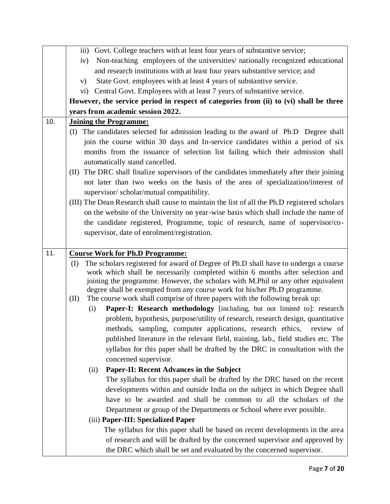|     | Govt. College teachers with at least four years of substantive service;<br>$\overline{111}$ )                                                                              |
|-----|----------------------------------------------------------------------------------------------------------------------------------------------------------------------------|
|     | Non-teaching employees of the universities/ nationally recognized educational<br>iv)                                                                                       |
|     | and research institutions with at least four years substantive service; and                                                                                                |
|     | State Govt. employees with at least 4 years of substantive service.<br>V)                                                                                                  |
|     | vi) Central Govt. Employees with at least 7 years of substantive service.                                                                                                  |
|     | However, the service period in respect of categories from (ii) to (vi) shall be three                                                                                      |
|     | years from academic session 2022.                                                                                                                                          |
| 10. | <b>Joining the Programme:</b>                                                                                                                                              |
|     | (I) The candidates selected for admission leading to the award of Ph.D Degree shall                                                                                        |
|     | join the course within 30 days and In-service candidates within a period of six                                                                                            |
|     | months from the issuance of selection list failing which their admission shall                                                                                             |
|     | automatically stand cancelled.                                                                                                                                             |
|     | The DRC shall finalize supervisors of the candidates immediately after their joining<br>(II)                                                                               |
|     | not later than two weeks on the basis of the area of specialization/interest of                                                                                            |
|     | supervisor/scholar/mutual compatibility.                                                                                                                                   |
|     | (III) The Dean Research shall cause to maintain the list of all the Ph.D registered scholars                                                                               |
|     | on the website of the University on year-wise basis which shall include the name of                                                                                        |
|     | the candidate registered, Programme, topic of research, name of supervisor/co-                                                                                             |
|     | supervisor, date of enrolment/registration.                                                                                                                                |
|     |                                                                                                                                                                            |
| 11. | <b>Course Work for Ph.D Programme:</b>                                                                                                                                     |
|     | The scholars registered for award of Degree of Ph.D shall have to undergo a course<br>(I)<br>work which shall be necessarily completed within 6 months after selection and |
|     | joining the programme. However, the scholars with M.Phil or any other equivalent                                                                                           |
|     | degree shall be exempted from any course work for his/her Ph.D programme.                                                                                                  |
|     | The course work shall comprise of three papers with the following break up:<br>(II)                                                                                        |
|     | Paper-I: Research methodology [including, but not limited to]: research<br>(i)                                                                                             |
|     | problem, hypothesis, purpose/utility of research, research design, quantitative                                                                                            |
|     | methods, sampling, computer applications, research ethics, review of                                                                                                       |
|     | published literature in the relevant field, training, lab., field studies etc. The                                                                                         |
|     | syllabus for this paper shall be drafted by the DRC in consultation with the                                                                                               |
|     | concerned supervisor.                                                                                                                                                      |
|     | Paper-II: Recent Advances in the Subject<br>(ii)                                                                                                                           |
|     | The syllabus for this paper shall be drafted by the DRC based on the recent                                                                                                |
|     | developments within and outside India on the subject in which Degree shall                                                                                                 |
|     | have to be awarded and shall be common to all the scholars of the                                                                                                          |
|     | Department or group of the Departments or School where ever possible.                                                                                                      |
|     | (iii) Paper-III: Specialized Paper                                                                                                                                         |
|     | The syllabus for this paper shall be based on recent developments in the area                                                                                              |
|     | of research and will be drafted by the concerned supervisor and approved by                                                                                                |
|     | the DRC which shall be set and evaluated by the concerned supervisor.                                                                                                      |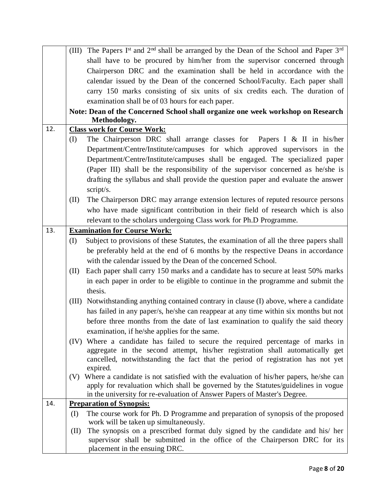|     | The Papers Ist and 2 <sup>nd</sup> shall be arranged by the Dean of the School and Paper 3 <sup>rd</sup><br>(III) |  |  |  |  |  |  |  |  |  |
|-----|-------------------------------------------------------------------------------------------------------------------|--|--|--|--|--|--|--|--|--|
|     | shall have to be procured by him/her from the supervisor concerned through                                        |  |  |  |  |  |  |  |  |  |
|     | Chairperson DRC and the examination shall be held in accordance with the                                          |  |  |  |  |  |  |  |  |  |
|     | calendar issued by the Dean of the concerned School/Faculty. Each paper shall                                     |  |  |  |  |  |  |  |  |  |
|     | carry 150 marks consisting of six units of six credits each. The duration of                                      |  |  |  |  |  |  |  |  |  |
|     | examination shall be of 03 hours for each paper.                                                                  |  |  |  |  |  |  |  |  |  |
|     | Note: Dean of the Concerned School shall organize one week workshop on Research                                   |  |  |  |  |  |  |  |  |  |
|     | Methodology.                                                                                                      |  |  |  |  |  |  |  |  |  |
| 12. | <b>Class work for Course Work:</b>                                                                                |  |  |  |  |  |  |  |  |  |
|     | The Chairperson DRC shall arrange classes for Papers I & II in his/her<br>(I)                                     |  |  |  |  |  |  |  |  |  |
|     | Department/Centre/Institute/campuses for which approved supervisors in the                                        |  |  |  |  |  |  |  |  |  |
|     | Department/Centre/Institute/campuses shall be engaged. The specialized paper                                      |  |  |  |  |  |  |  |  |  |
|     | (Paper III) shall be the responsibility of the supervisor concerned as he/she is                                  |  |  |  |  |  |  |  |  |  |
|     | drafting the syllabus and shall provide the question paper and evaluate the answer                                |  |  |  |  |  |  |  |  |  |
|     | script/s.                                                                                                         |  |  |  |  |  |  |  |  |  |
|     | The Chairperson DRC may arrange extension lectures of reputed resource persons<br>(II)                            |  |  |  |  |  |  |  |  |  |
|     | who have made significant contribution in their field of research which is also                                   |  |  |  |  |  |  |  |  |  |
|     | relevant to the scholars undergoing Class work for Ph.D Programme.                                                |  |  |  |  |  |  |  |  |  |
| 13. | <b>Examination for Course Work:</b>                                                                               |  |  |  |  |  |  |  |  |  |
|     | Subject to provisions of these Statutes, the examination of all the three papers shall<br>(I)                     |  |  |  |  |  |  |  |  |  |
|     | be preferably held at the end of 6 months by the respective Deans in accordance                                   |  |  |  |  |  |  |  |  |  |
|     | with the calendar issued by the Dean of the concerned School.                                                     |  |  |  |  |  |  |  |  |  |
|     | Each paper shall carry 150 marks and a candidate has to secure at least 50% marks<br>(II)                         |  |  |  |  |  |  |  |  |  |
|     | in each paper in order to be eligible to continue in the programme and submit the                                 |  |  |  |  |  |  |  |  |  |
|     | thesis.                                                                                                           |  |  |  |  |  |  |  |  |  |
|     | Notwithstanding anything contained contrary in clause (I) above, where a candidate<br>(III)                       |  |  |  |  |  |  |  |  |  |
|     | has failed in any paper/s, he/she can reappear at any time within six months but not                              |  |  |  |  |  |  |  |  |  |
|     | before three months from the date of last examination to qualify the said theory                                  |  |  |  |  |  |  |  |  |  |
|     | examination, if he/she applies for the same.                                                                      |  |  |  |  |  |  |  |  |  |
|     | (IV) Where a candidate has failed to secure the required percentage of marks in                                   |  |  |  |  |  |  |  |  |  |
|     | aggregate in the second attempt, his/her registration shall automatically get                                     |  |  |  |  |  |  |  |  |  |
|     | cancelled, notwithstanding the fact that the period of registration has not yet                                   |  |  |  |  |  |  |  |  |  |
|     | expired.                                                                                                          |  |  |  |  |  |  |  |  |  |
|     | Where a candidate is not satisfied with the evaluation of his/her papers, he/she can<br>(V)                       |  |  |  |  |  |  |  |  |  |
|     | apply for revaluation which shall be governed by the Statutes/guidelines in vogue                                 |  |  |  |  |  |  |  |  |  |
| 14. | in the university for re-evaluation of Answer Papers of Master's Degree.<br><b>Preparation of Synopsis:</b>       |  |  |  |  |  |  |  |  |  |
|     | The course work for Ph. D Programme and preparation of synopsis of the proposed<br>(I)                            |  |  |  |  |  |  |  |  |  |
|     | work will be taken up simultaneously.                                                                             |  |  |  |  |  |  |  |  |  |
|     | The synopsis on a prescribed format duly signed by the candidate and his/ her<br>(II)                             |  |  |  |  |  |  |  |  |  |
|     | supervisor shall be submitted in the office of the Chairperson DRC for its                                        |  |  |  |  |  |  |  |  |  |
|     | placement in the ensuing DRC.                                                                                     |  |  |  |  |  |  |  |  |  |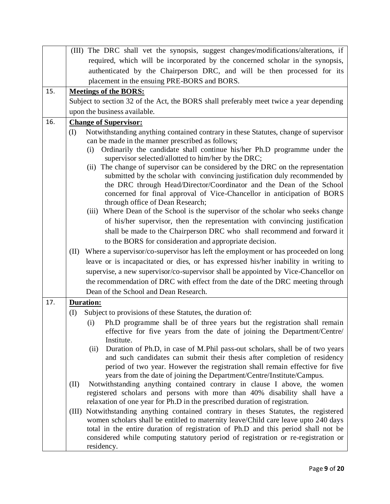|     | (III) The DRC shall vet the synopsis, suggest changes/modifications/alterations, if                                                                                    |  |  |  |  |  |  |  |  |  |
|-----|------------------------------------------------------------------------------------------------------------------------------------------------------------------------|--|--|--|--|--|--|--|--|--|
|     | required, which will be incorporated by the concerned scholar in the synopsis,                                                                                         |  |  |  |  |  |  |  |  |  |
|     | authenticated by the Chairperson DRC, and will be then processed for its                                                                                               |  |  |  |  |  |  |  |  |  |
|     | placement in the ensuing PRE-BORS and BORS.                                                                                                                            |  |  |  |  |  |  |  |  |  |
| 15. | <b>Meetings of the BORS:</b>                                                                                                                                           |  |  |  |  |  |  |  |  |  |
|     | Subject to section 32 of the Act, the BORS shall preferably meet twice a year depending                                                                                |  |  |  |  |  |  |  |  |  |
|     | upon the business available.                                                                                                                                           |  |  |  |  |  |  |  |  |  |
| 16. | <b>Change of Supervisor:</b>                                                                                                                                           |  |  |  |  |  |  |  |  |  |
|     | Notwithstanding anything contained contrary in these Statutes, change of supervisor<br>(I)                                                                             |  |  |  |  |  |  |  |  |  |
|     | can be made in the manner prescribed as follows;                                                                                                                       |  |  |  |  |  |  |  |  |  |
|     | Ordinarily the candidate shall continue his/her Ph.D programme under the<br>(i)<br>supervisor selected/allotted to him/her by the DRC;                                 |  |  |  |  |  |  |  |  |  |
|     | (ii) The change of supervisor can be considered by the DRC on the representation                                                                                       |  |  |  |  |  |  |  |  |  |
|     | submitted by the scholar with convincing justification duly recommended by                                                                                             |  |  |  |  |  |  |  |  |  |
|     | the DRC through Head/Director/Coordinator and the Dean of the School                                                                                                   |  |  |  |  |  |  |  |  |  |
|     | concerned for final approval of Vice-Chancellor in anticipation of BORS<br>through office of Dean Research;                                                            |  |  |  |  |  |  |  |  |  |
|     | (iii) Where Dean of the School is the supervisor of the scholar who seeks change                                                                                       |  |  |  |  |  |  |  |  |  |
|     | of his/her supervisor, then the representation with convincing justification                                                                                           |  |  |  |  |  |  |  |  |  |
|     | shall be made to the Chairperson DRC who shall recommend and forward it                                                                                                |  |  |  |  |  |  |  |  |  |
|     | to the BORS for consideration and appropriate decision.                                                                                                                |  |  |  |  |  |  |  |  |  |
|     | Where a supervisor/co-supervisor has left the employment or has proceeded on long<br>(II)                                                                              |  |  |  |  |  |  |  |  |  |
|     | leave or is incapacitated or dies, or has expressed his/her inability in writing to                                                                                    |  |  |  |  |  |  |  |  |  |
|     | supervise, a new supervisor/co-supervisor shall be appointed by Vice-Chancellor on                                                                                     |  |  |  |  |  |  |  |  |  |
|     | the recommendation of DRC with effect from the date of the DRC meeting through                                                                                         |  |  |  |  |  |  |  |  |  |
|     | Dean of the School and Dean Research.                                                                                                                                  |  |  |  |  |  |  |  |  |  |
| 17. | <b>Duration:</b>                                                                                                                                                       |  |  |  |  |  |  |  |  |  |
|     | Subject to provisions of these Statutes, the duration of:<br>(I)                                                                                                       |  |  |  |  |  |  |  |  |  |
|     | Ph.D programme shall be of three years but the registration shall remain<br>(i)                                                                                        |  |  |  |  |  |  |  |  |  |
|     | effective for five years from the date of joining the Department/Centre/                                                                                               |  |  |  |  |  |  |  |  |  |
|     | Institute.<br>Duration of Ph.D, in case of M.Phil pass-out scholars, shall be of two years<br>(ii)                                                                     |  |  |  |  |  |  |  |  |  |
|     | and such candidates can submit their thesis after completion of residency                                                                                              |  |  |  |  |  |  |  |  |  |
|     | period of two year. However the registration shall remain effective for five                                                                                           |  |  |  |  |  |  |  |  |  |
|     | years from the date of joining the Department/Centre/Institute/Campus.                                                                                                 |  |  |  |  |  |  |  |  |  |
|     | Notwithstanding anything contained contrary in clause I above, the women<br>(II)                                                                                       |  |  |  |  |  |  |  |  |  |
|     | registered scholars and persons with more than 40% disability shall have a                                                                                             |  |  |  |  |  |  |  |  |  |
|     | relaxation of one year for Ph.D in the prescribed duration of registration.<br>Notwithstanding anything contained contrary in theses Statutes, the registered<br>(III) |  |  |  |  |  |  |  |  |  |
|     | women scholars shall be entitled to maternity leave/Child care leave upto 240 days                                                                                     |  |  |  |  |  |  |  |  |  |
|     | total in the entire duration of registration of Ph.D and this period shall not be                                                                                      |  |  |  |  |  |  |  |  |  |
|     | considered while computing statutory period of registration or re-registration or                                                                                      |  |  |  |  |  |  |  |  |  |
|     | residency.                                                                                                                                                             |  |  |  |  |  |  |  |  |  |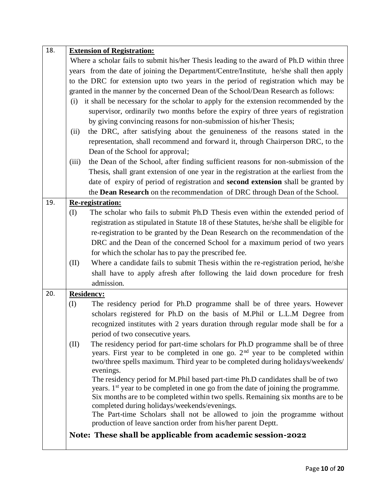| 18. | <b>Extension of Registration:</b>                                                             |  |  |  |  |  |  |  |  |  |
|-----|-----------------------------------------------------------------------------------------------|--|--|--|--|--|--|--|--|--|
|     | Where a scholar fails to submit his/her Thesis leading to the award of Ph.D within three      |  |  |  |  |  |  |  |  |  |
|     | years from the date of joining the Department/Centre/Institute, he/she shall then apply       |  |  |  |  |  |  |  |  |  |
|     | to the DRC for extension upto two years in the period of registration which may be            |  |  |  |  |  |  |  |  |  |
|     | granted in the manner by the concerned Dean of the School/Dean Research as follows:           |  |  |  |  |  |  |  |  |  |
|     | it shall be necessary for the scholar to apply for the extension recommended by the<br>(i)    |  |  |  |  |  |  |  |  |  |
|     | supervisor, ordinarily two months before the expiry of three years of registration            |  |  |  |  |  |  |  |  |  |
|     | by giving convincing reasons for non-submission of his/her Thesis;                            |  |  |  |  |  |  |  |  |  |
|     | the DRC, after satisfying about the genuineness of the reasons stated in the<br>(ii)          |  |  |  |  |  |  |  |  |  |
|     | representation, shall recommend and forward it, through Chairperson DRC, to the               |  |  |  |  |  |  |  |  |  |
|     | Dean of the School for approval;                                                              |  |  |  |  |  |  |  |  |  |
|     | the Dean of the School, after finding sufficient reasons for non-submission of the<br>(iii)   |  |  |  |  |  |  |  |  |  |
|     | Thesis, shall grant extension of one year in the registration at the earliest from the        |  |  |  |  |  |  |  |  |  |
|     | date of expiry of period of registration and second extension shall be granted by             |  |  |  |  |  |  |  |  |  |
|     | the <b>Dean Research</b> on the recommendation of DRC through Dean of the School.             |  |  |  |  |  |  |  |  |  |
| 19. | Re-registration:                                                                              |  |  |  |  |  |  |  |  |  |
|     | (I)<br>The scholar who fails to submit Ph.D Thesis even within the extended period of         |  |  |  |  |  |  |  |  |  |
|     | registration as stipulated in Statute 18 of these Statutes, he/she shall be eligible for      |  |  |  |  |  |  |  |  |  |
|     | re-registration to be granted by the Dean Research on the recommendation of the               |  |  |  |  |  |  |  |  |  |
|     | DRC and the Dean of the concerned School for a maximum period of two years                    |  |  |  |  |  |  |  |  |  |
|     | for which the scholar has to pay the prescribed fee.                                          |  |  |  |  |  |  |  |  |  |
|     | Where a candidate fails to submit Thesis within the re-registration period, he/she<br>(II)    |  |  |  |  |  |  |  |  |  |
|     | shall have to apply afresh after following the laid down procedure for fresh                  |  |  |  |  |  |  |  |  |  |
|     | admission.                                                                                    |  |  |  |  |  |  |  |  |  |
| 20. | <b>Residency:</b>                                                                             |  |  |  |  |  |  |  |  |  |
|     | The residency period for Ph.D programme shall be of three years. However<br>(I)               |  |  |  |  |  |  |  |  |  |
|     | scholars registered for Ph.D on the basis of M.Phil or L.L.M Degree from                      |  |  |  |  |  |  |  |  |  |
|     | recognized institutes with 2 years duration through regular mode shall be for a               |  |  |  |  |  |  |  |  |  |
|     | period of two consecutive years.                                                              |  |  |  |  |  |  |  |  |  |
|     | (II)<br>The residency period for part-time scholars for Ph.D programme shall be of three      |  |  |  |  |  |  |  |  |  |
|     | years. First year to be completed in one go. $2nd$ year to be completed within                |  |  |  |  |  |  |  |  |  |
|     | two/three spells maximum. Third year to be completed during holidays/weekends/<br>evenings.   |  |  |  |  |  |  |  |  |  |
|     | The residency period for M.Phil based part-time Ph.D candidates shall be of two               |  |  |  |  |  |  |  |  |  |
|     | years. 1 <sup>st</sup> year to be completed in one go from the date of joining the programme. |  |  |  |  |  |  |  |  |  |
|     | Six months are to be completed within two spells. Remaining six months are to be              |  |  |  |  |  |  |  |  |  |
|     | completed during holidays/weekends/evenings.                                                  |  |  |  |  |  |  |  |  |  |
|     | The Part-time Scholars shall not be allowed to join the programme without                     |  |  |  |  |  |  |  |  |  |
|     | production of leave sanction order from his/her parent Deptt.                                 |  |  |  |  |  |  |  |  |  |
|     | Note: These shall be applicable from academic session-2022                                    |  |  |  |  |  |  |  |  |  |
|     |                                                                                               |  |  |  |  |  |  |  |  |  |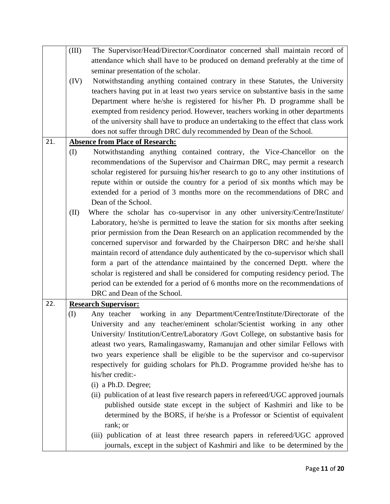|     | (III) | The Supervisor/Head/Director/Coordinator concerned shall maintain record of          |  |  |  |  |  |  |
|-----|-------|--------------------------------------------------------------------------------------|--|--|--|--|--|--|
|     |       | attendance which shall have to be produced on demand preferably at the time of       |  |  |  |  |  |  |
|     |       | seminar presentation of the scholar.                                                 |  |  |  |  |  |  |
|     | (IV)  | Notwithstanding anything contained contrary in these Statutes, the University        |  |  |  |  |  |  |
|     |       | teachers having put in at least two years service on substantive basis in the same   |  |  |  |  |  |  |
|     |       | Department where he/she is registered for his/her Ph. D programme shall be           |  |  |  |  |  |  |
|     |       | exempted from residency period. However, teachers working in other departments       |  |  |  |  |  |  |
|     |       | of the university shall have to produce an undertaking to the effect that class work |  |  |  |  |  |  |
|     |       | does not suffer through DRC duly recommended by Dean of the School.                  |  |  |  |  |  |  |
| 21. |       | <b>Absence from Place of Research:</b>                                               |  |  |  |  |  |  |
|     | (I)   | Notwithstanding anything contained contrary, the Vice-Chancellor on the              |  |  |  |  |  |  |
|     |       | recommendations of the Supervisor and Chairman DRC, may permit a research            |  |  |  |  |  |  |
|     |       | scholar registered for pursuing his/her research to go to any other institutions of  |  |  |  |  |  |  |
|     |       | repute within or outside the country for a period of six months which may be         |  |  |  |  |  |  |
|     |       | extended for a period of 3 months more on the recommendations of DRC and             |  |  |  |  |  |  |
|     |       | Dean of the School.                                                                  |  |  |  |  |  |  |
|     | (II)  | Where the scholar has co-supervisor in any other university/Centre/Institute/        |  |  |  |  |  |  |
|     |       | Laboratory, he/she is permitted to leave the station for six months after seeking    |  |  |  |  |  |  |
|     |       | prior permission from the Dean Research on an application recommended by the         |  |  |  |  |  |  |
|     |       | concerned supervisor and forwarded by the Chairperson DRC and he/she shall           |  |  |  |  |  |  |
|     |       | maintain record of attendance duly authenticated by the co-supervisor which shall    |  |  |  |  |  |  |
|     |       | form a part of the attendance maintained by the concerned Deptt. where the           |  |  |  |  |  |  |
|     |       | scholar is registered and shall be considered for computing residency period. The    |  |  |  |  |  |  |
|     |       | period can be extended for a period of 6 months more on the recommendations of       |  |  |  |  |  |  |
|     |       | DRC and Dean of the School.                                                          |  |  |  |  |  |  |
| 22. |       | <b>Research Supervisor:</b>                                                          |  |  |  |  |  |  |
|     | (I)   | working in any Department/Centre/Institute/Directorate of the<br>Any teacher         |  |  |  |  |  |  |
|     |       | University and any teacher/eminent scholar/Scientist working in any other            |  |  |  |  |  |  |
|     |       | University/ Institution/Centre/Laboratory /Govt College, on substantive basis for    |  |  |  |  |  |  |
|     |       | atleast two years, Ramalingaswamy, Ramanujan and other similar Fellows with          |  |  |  |  |  |  |
|     |       | two years experience shall be eligible to be the supervisor and co-supervisor        |  |  |  |  |  |  |
|     |       | respectively for guiding scholars for Ph.D. Programme provided he/she has to         |  |  |  |  |  |  |
|     |       | his/her credit:-                                                                     |  |  |  |  |  |  |
|     |       | (i) a Ph.D. Degree;                                                                  |  |  |  |  |  |  |
|     |       | (ii) publication of at least five research papers in refereed/UGC approved journals  |  |  |  |  |  |  |
|     |       | published outside state except in the subject of Kashmiri and like to be             |  |  |  |  |  |  |
|     |       | determined by the BORS, if he/she is a Professor or Scientist of equivalent          |  |  |  |  |  |  |
|     |       | rank; or                                                                             |  |  |  |  |  |  |
|     |       | (iii) publication of at least three research papers in refereed/UGC approved         |  |  |  |  |  |  |
|     |       |                                                                                      |  |  |  |  |  |  |
|     |       | journals, except in the subject of Kashmiri and like to be determined by the         |  |  |  |  |  |  |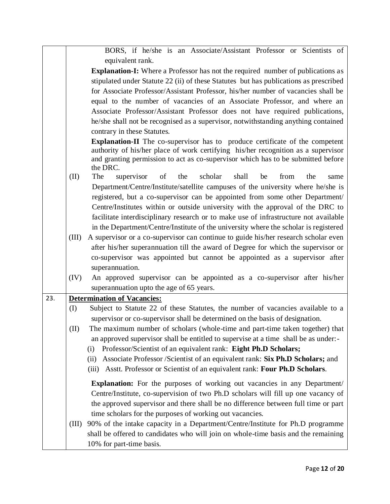|                                                                                        |  |  |  |  | BORS, if he/she is an Associate/Assistant Professor or Scientists of        |  |  |  |
|----------------------------------------------------------------------------------------|--|--|--|--|-----------------------------------------------------------------------------|--|--|--|
| equivalent rank.                                                                       |  |  |  |  |                                                                             |  |  |  |
| <b>Explanation-I:</b> Where a Professor has not the required number of publications as |  |  |  |  |                                                                             |  |  |  |
| stipulated under Statute 22 (ii) of these Statutes but has publications as prescribed  |  |  |  |  |                                                                             |  |  |  |
| for Associate Professor/Assistant Professor, his/her number of vacancies shall be      |  |  |  |  |                                                                             |  |  |  |
|                                                                                        |  |  |  |  | aguel to the pupples of presencing of an Aggregiate Drefessor and pulsar an |  |  |  |

equal to the number of vacancies of an Associate Professor, and where an Associate Professor/Assistant Professor does not have required publications, he/she shall not be recognised as a supervisor, notwithstanding anything contained contrary in these Statutes.

**Explanation-II** The co-supervisor has to produce certificate of the competent authority of his/her place of work certifying his/her recognition as a supervisor and granting permission to act as co-supervisor which has to be submitted before the DRC.

- (II) The supervisor of the scholar shall be from the same Department/Centre/Institute/satellite campuses of the university where he/she is registered, but a co-supervisor can be appointed from some other Department/ Centre/Institutes within or outside university with the approval of the DRC to facilitate interdisciplinary research or to make use of infrastructure not available in the Department/Centre/Institute of the university where the scholar is registered
- (III) A supervisor or a co-supervisor can continue to guide his/her research scholar even after his/her superannuation till the award of Degree for which the supervisor or co-supervisor was appointed but cannot be appointed as a supervisor after superannuation.
- (IV) An approved supervisor can be appointed as a co-supervisor after his/her superannuation upto the age of 65 years.

| 23. | <b>Determination of Vacancies:</b> |                                                                                      |
|-----|------------------------------------|--------------------------------------------------------------------------------------|
|     | (I)                                | Subject to Statute 22 of these Statutes, the number of vacancies available to a      |
|     |                                    | supervisor or co-supervisor shall be determined on the basis of designation.         |
|     | (II)                               | The maximum number of scholars (whole-time and part-time taken together) that        |
|     |                                    | an approved supervisor shall be entitled to supervise at a time shall be as under:-  |
|     |                                    | Professor/Scientist of an equivalent rank: Eight Ph.D Scholars;<br>(i)               |
|     |                                    | Associate Professor /Scientist of an equivalent rank: Six Ph.D Scholars; and<br>(ii) |
|     |                                    | Asstt. Professor or Scientist of an equivalent rank: Four Ph.D Scholars.<br>(iii)    |
|     |                                    | <b>Explanation:</b> For the purposes of working out vacancies in any Department/     |
|     |                                    | Centre/Institute, co-supervision of two Ph.D scholars will fill up one vacancy of    |
|     |                                    | the approved supervisor and there shall be no difference between full time or part   |
|     |                                    | time scholars for the purposes of working out vacancies.                             |
|     | (III)                              | 90% of the intake capacity in a Department/Centre/Institute for Ph.D programme       |
|     |                                    | shall be offered to candidates who will join on whole-time basis and the remaining   |
|     |                                    | 10% for part-time basis.                                                             |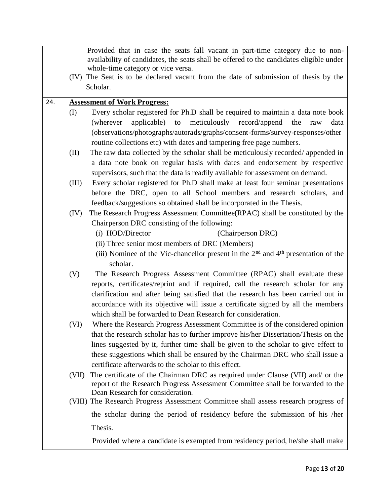|     |       | Provided that in case the seats fall vacant in part-time category due to non-                                                                                    |
|-----|-------|------------------------------------------------------------------------------------------------------------------------------------------------------------------|
|     |       | availability of candidates, the seats shall be offered to the candidates eligible under                                                                          |
|     |       | whole-time category or vice versa.<br>(IV) The Seat is to be declared vacant from the date of submission of thesis by the                                        |
|     |       | Scholar.                                                                                                                                                         |
|     |       |                                                                                                                                                                  |
| 24. |       | <b>Assessment of Work Progress:</b>                                                                                                                              |
|     | (I)   | Every scholar registered for Ph.D shall be required to maintain a data note book                                                                                 |
|     |       | meticulously record/append<br>applicable) to<br>(wherever<br>the<br>data<br>raw                                                                                  |
|     |       | (observations/photographs/autorads/graphs/consent-forms/survey-responses/other                                                                                   |
|     |       | routine collections etc) with dates and tampering free page numbers.                                                                                             |
|     | (II)  | The raw data collected by the scholar shall be meticulously recorded/appended in                                                                                 |
|     |       | a data note book on regular basis with dates and endorsement by respective                                                                                       |
|     |       | supervisors, such that the data is readily available for assessment on demand.                                                                                   |
|     | (III) | Every scholar registered for Ph.D shall make at least four seminar presentations<br>before the DRC, open to all School members and research scholars, and        |
|     |       | feedback/suggestions so obtained shall be incorporated in the Thesis.                                                                                            |
|     | (IV)  | The Research Progress Assessment Committee(RPAC) shall be constituted by the                                                                                     |
|     |       | Chairperson DRC consisting of the following:                                                                                                                     |
|     |       | (i) HOD/Director<br>(Chairperson DRC)                                                                                                                            |
|     |       | (ii) Three senior most members of DRC (Members)                                                                                                                  |
|     |       | (iii) Nominee of the Vic-chancellor present in the $2nd$ and $4th$ presentation of the                                                                           |
|     |       | scholar.                                                                                                                                                         |
|     | (V)   | The Research Progress Assessment Committee (RPAC) shall evaluate these                                                                                           |
|     |       | reports, certificates/reprint and if required, call the research scholar for any                                                                                 |
|     |       | clarification and after being satisfied that the research has been carried out in                                                                                |
|     |       | accordance with its objective will issue a certificate signed by all the members                                                                                 |
|     |       | which shall be forwarded to Dean Research for consideration.                                                                                                     |
|     | (VI)  | Where the Research Progress Assessment Committee is of the considered opinion                                                                                    |
|     |       | that the research scholar has to further improve his/her Dissertation/Thesis on the                                                                              |
|     |       | lines suggested by it, further time shall be given to the scholar to give effect to                                                                              |
|     |       | these suggestions which shall be ensured by the Chairman DRC who shall issue a                                                                                   |
|     |       | certificate afterwards to the scholar to this effect.                                                                                                            |
|     | (VII) | The certificate of the Chairman DRC as required under Clause (VII) and/ or the<br>report of the Research Progress Assessment Committee shall be forwarded to the |
|     |       | Dean Research for consideration.                                                                                                                                 |
|     |       | (VIII) The Research Progress Assessment Committee shall assess research progress of                                                                              |
|     |       | the scholar during the period of residency before the submission of his /her                                                                                     |
|     |       | Thesis.                                                                                                                                                          |
|     |       | Provided where a candidate is exempted from residency period, he/she shall make                                                                                  |
|     |       |                                                                                                                                                                  |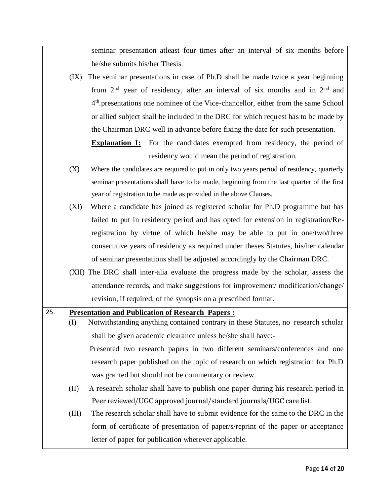seminar presentation atleast four times after an interval of six months before he/she submits his/her Thesis.

(IX) The seminar presentations in case of Ph.D shall be made twice a year beginning from  $2<sup>nd</sup>$  year of residency, after an interval of six months and in  $2<sup>nd</sup>$  and 4 th.presentations one nominee of the Vice-chancellor, either from the same School or allied subject shall be included in the DRC for which request has to be made by the Chairman DRC well in advance before fixing the date for such presentation.

**Explanation I:** For the candidates exempted from residency, the period of residency would mean the period of registration.

- (X) Where the candidates are required to put in only two years period of residency, quarterly seminar presentations shall have to be made, beginning from the last quarter of the first year of registration to be made as provided in the above Clauses.
- (XI) Where a candidate has joined as registered scholar for Ph.D programme but has failed to put in residency period and has opted for extension in registration/Reregistration by virtue of which he/she may be able to put in one/two/three consecutive years of residency as required under theses Statutes, his/her calendar of seminar presentations shall be adjusted accordingly by the Chairman DRC.
- (XII) The DRC shall inter-alia evaluate the progress made by the scholar, assess the attendance records, and make suggestions for improvement/ modification/change/ revision, if required, of the synopsis on a prescribed format.

| 25. | <b>Presentation and Publication of Research Papers:</b> |                                                                                    |
|-----|---------------------------------------------------------|------------------------------------------------------------------------------------|
|     | (I)                                                     | Notwithstanding anything contained contrary in these Statutes, no research scholar |
|     |                                                         | shall be given academic clearance unless he/she shall have:-                       |
|     |                                                         | Presented two research papers in two different seminars/conferences and one        |
|     |                                                         | research paper published on the topic of research on which registration for Ph.D   |
|     |                                                         | was granted but should not be commentary or review.                                |
|     | (II)                                                    | A research scholar shall have to publish one paper during his research period in   |
|     |                                                         | Peer reviewed/UGC approved journal/standard journals/UGC care list.                |
|     | (III)                                                   | The research scholar shall have to submit evidence for the same to the DRC in the  |
|     |                                                         | form of certificate of presentation of paper/s/reprint of the paper or acceptance  |
|     |                                                         | letter of paper for publication wherever applicable.                               |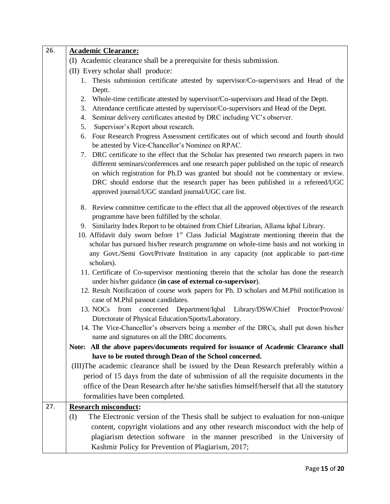| 26. | <b>Academic Clearance:</b>                                                                                                                                |  |  |  |
|-----|-----------------------------------------------------------------------------------------------------------------------------------------------------------|--|--|--|
|     | (I) Academic clearance shall be a prerequisite for thesis submission.                                                                                     |  |  |  |
|     | (II) Every scholar shall produce:                                                                                                                         |  |  |  |
|     | 1. Thesis submission certificate attested by supervisor/Co-supervisors and Head of the                                                                    |  |  |  |
|     | Deptt.                                                                                                                                                    |  |  |  |
|     | Whole-time certificate attested by supervisor/Co-supervisors and Head of the Deptt.<br>2.                                                                 |  |  |  |
|     | Attendance certificate attested by supervisor/Co-supervisors and Head of the Deptt.<br>3.                                                                 |  |  |  |
|     | Seminar delivery certificates attested by DRC including VC's observer.<br>4.                                                                              |  |  |  |
|     | 5.<br>Supervisor's Report about research.                                                                                                                 |  |  |  |
|     | Four Research Progress Assessment certificates out of which second and fourth should<br>6.<br>be attested by Vice-Chancellor's Nominee on RPAC.           |  |  |  |
|     | 7. DRC certificate to the effect that the Scholar has presented two research papers in two                                                                |  |  |  |
|     | different seminars/conferences and one research paper published on the topic of research                                                                  |  |  |  |
|     | on which registration for Ph.D was granted but should not be commentary or review.                                                                        |  |  |  |
|     | DRC should endorse that the research paper has been published in a refereed/UGC                                                                           |  |  |  |
|     | approved journal/UGC standard journal/UGC care list.                                                                                                      |  |  |  |
|     | 8. Review committee certificate to the effect that all the approved objectives of the research                                                            |  |  |  |
|     | programme have been fulfilled by the scholar.                                                                                                             |  |  |  |
|     | 9. Similarity Index Report to be obtained from Chief Librarian, Allama Iqbal Library.                                                                     |  |  |  |
|     | 10. Affidavit duly sworn before $1st$ Class Judicial Magistrate mentioning therein that the                                                               |  |  |  |
|     | scholar has pursued his/her research programme on whole-time basis and not working in                                                                     |  |  |  |
|     | any Govt./Semi Govt/Private Institution in any capacity (not applicable to part-time                                                                      |  |  |  |
|     | scholars).                                                                                                                                                |  |  |  |
|     | 11. Certificate of Co-supervisor mentioning therein that the scholar has done the research<br>under his/her guidance (in case of external co-supervisor). |  |  |  |
|     | 12. Result Notification of course work papers for Ph. D scholars and M.Phil notification in                                                               |  |  |  |
|     | case of M.Phil passout candidates.                                                                                                                        |  |  |  |
|     | 13. NOCs<br>from concerned<br>Department/Iqbal Library/DSW/Chief Proctor/Provost/                                                                         |  |  |  |
|     | Directorate of Physical Education/Sports/Laboratory.                                                                                                      |  |  |  |
|     | 14. The Vice-Chancellor's observers being a member of the DRCs, shall put down his/her                                                                    |  |  |  |
|     | name and signatures on all the DRC documents.                                                                                                             |  |  |  |
|     | All the above papers/documents required for issuance of Academic Clearance shall<br>Note:                                                                 |  |  |  |
|     | have to be routed through Dean of the School concerned.                                                                                                   |  |  |  |
|     | (III) The academic clearance shall be issued by the Dean Research preferably within a                                                                     |  |  |  |
|     | period of 15 days from the date of submission of all the requisite documents in the                                                                       |  |  |  |
|     | office of the Dean Research after he/she satisfies himself/herself that all the statutory                                                                 |  |  |  |
|     | formalities have been completed.                                                                                                                          |  |  |  |
| 27. | <b>Research misconduct:</b>                                                                                                                               |  |  |  |
|     | (I)<br>The Electronic version of the Thesis shall be subject to evaluation for non-unique                                                                 |  |  |  |
|     | content, copyright violations and any other research misconduct with the help of                                                                          |  |  |  |
|     | plagiarism detection software in the manner prescribed in the University of                                                                               |  |  |  |
|     | Kashmir Policy for Prevention of Plagiarism, 2017;                                                                                                        |  |  |  |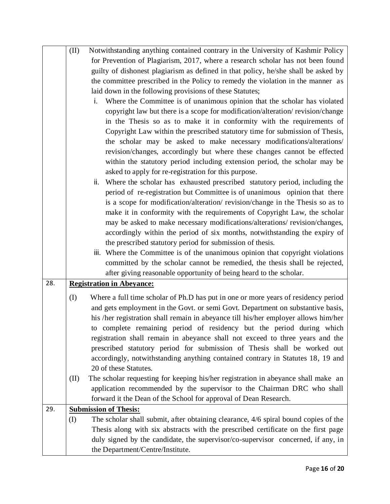|     | (II) | Notwithstanding anything contained contrary in the University of Kashmir Policy     |
|-----|------|-------------------------------------------------------------------------------------|
|     |      | for Prevention of Plagiarism, 2017, where a research scholar has not been found     |
|     |      | guilty of dishonest plagiarism as defined in that policy, he/she shall be asked by  |
|     |      | the committee prescribed in the Policy to remedy the violation in the manner as     |
|     |      | laid down in the following provisions of these Statutes;                            |
|     |      | Where the Committee is of unanimous opinion that the scholar has violated<br>i.     |
|     |      | copyright law but there is a scope for modification/alteration/revision/change      |
|     |      | in the Thesis so as to make it in conformity with the requirements of               |
|     |      | Copyright Law within the prescribed statutory time for submission of Thesis,        |
|     |      | the scholar may be asked to make necessary modifications/alterations/               |
|     |      | revision/changes, accordingly but where these changes cannot be effected            |
|     |      | within the statutory period including extension period, the scholar may be          |
|     |      | asked to apply for re-registration for this purpose.                                |
|     |      | Where the scholar has exhausted prescribed statutory period, including the<br>ii.   |
|     |      | period of re-registration but Committee is of unanimous opinion that there          |
|     |      | is a scope for modification/alteration/ revision/change in the Thesis so as to      |
|     |      | make it in conformity with the requirements of Copyright Law, the scholar           |
|     |      | may be asked to make necessary modifications/alterations/ revision/changes,         |
|     |      | accordingly within the period of six months, notwithstanding the expiry of          |
|     |      | the prescribed statutory period for submission of thesis.                           |
|     |      | iii. Where the Committee is of the unanimous opinion that copyright violations      |
|     |      | committed by the scholar cannot be remedied, the thesis shall be rejected,          |
|     |      | after giving reasonable opportunity of being heard to the scholar.                  |
| 28. |      | <b>Registration in Abeyance:</b>                                                    |
|     | (I)  | Where a full time scholar of Ph.D has put in one or more years of residency period  |
|     |      | and gets employment in the Govt. or semi Govt. Department on substantive basis,     |
|     |      | his /her registration shall remain in abeyance till his/her employer allows him/her |
|     |      | to complete remaining period of residency but the period during which               |
|     |      | registration shall remain in abeyance shall not exceed to three years and the       |
|     |      | prescribed statutory period for submission of Thesis shall be worked out            |
|     |      | accordingly, notwithstanding anything contained contrary in Statutes 18, 19 and     |
|     |      | 20 of these Statutes.                                                               |
|     | (II) | The scholar requesting for keeping his/her registration in abeyance shall make an   |
|     |      | application recommended by the supervisor to the Chairman DRC who shall             |
|     |      | forward it the Dean of the School for approval of Dean Research.                    |
| 29. |      | <b>Submission of Thesis:</b>                                                        |
|     | (I)  | The scholar shall submit, after obtaining clearance, 4/6 spiral bound copies of the |
|     |      | Thesis along with six abstracts with the prescribed certificate on the first page   |
|     |      | duly signed by the candidate, the supervisor/co-supervisor concerned, if any, in    |
|     |      | the Department/Centre/Institute.                                                    |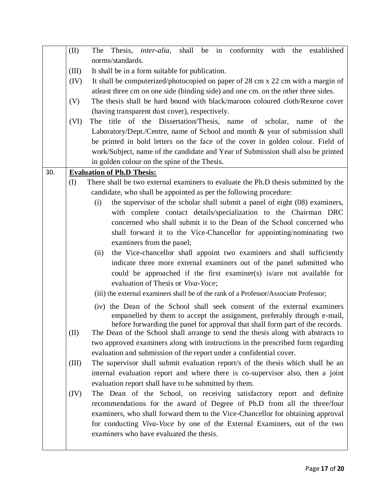|     | (II)  | shall be in conformity with the<br>Thesis, <i>inter-alia</i> ,<br>established<br>The  |
|-----|-------|---------------------------------------------------------------------------------------|
|     |       | norms/standards.                                                                      |
|     | (III) | It shall be in a form suitable for publication.                                       |
|     | (IV)  | It shall be computerized/photocopied on paper of 28 cm x 22 cm with a margin of       |
|     |       | at least three cm on one side (binding side) and one cm. on the other three sides.    |
|     | (V)   | The thesis shall be hard bound with black/maroon coloured cloth/Rexene cover          |
|     |       | (having transparent dust cover), respectively.                                        |
|     | (VI)  | The title of the Dissertation/Thesis, name of scholar, name of the                    |
|     |       | Laboratory/Dept./Centre, name of School and month & year of submission shall          |
|     |       | be printed in bold letters on the face of the cover in golden colour. Field of        |
|     |       | work/Subject, name of the candidate and Year of Submission shall also be printed      |
|     |       | in golden colour on the spine of the Thesis.                                          |
| 30. |       | <b>Evaluation of Ph.D Thesis:</b>                                                     |
|     | (I)   | There shall be two external examiners to evaluate the Ph.D thesis submitted by the    |
|     |       | candidate, who shall be appointed as per the following procedure:                     |
|     |       | the supervisor of the scholar shall submit a panel of eight (08) examiners,<br>(i)    |
|     |       | with complete contact details/specialization to the Chairman DRC                      |
|     |       | concerned who shall submit it to the Dean of the School concerned who                 |
|     |       | shall forward it to the Vice-Chancellor for appointing/nominating two                 |
|     |       | examiners from the panel;                                                             |
|     |       | the Vice-chancellor shall appoint two examiners and shall sufficiently<br>(ii)        |
|     |       | indicate three more external examiners out of the panel submitted who                 |
|     |       | could be approached if the first examiner(s) is/are not available for                 |
|     |       | evaluation of Thesis or Viva-Voce;                                                    |
|     |       | (iii) the external examiners shall be of the rank of a Professor/Associate Professor; |
|     |       | (iv) the Dean of the School shall seek consent of the external examiners              |
|     |       | empanelled by them to accept the assignment, preferably through e-mail,               |
|     |       | before forwarding the panel for approval that shall form part of the records.         |
|     | (II)  | The Dean of the School shall arrange to send the thesis along with abstracts to       |
|     |       | two approved examiners along with instructions in the prescribed form regarding       |
|     |       | evaluation and submission of the report under a confidential cover.                   |
|     | (III) | The supervisor shall submit evaluation report/s of the thesis which shall be an       |
|     |       | internal evaluation report and where there is co-supervisor also, then a joint        |
|     |       | evaluation report shall have to be submitted by them.                                 |
|     | (IV)  | The Dean of the School, on receiving satisfactory report and definite                 |
|     |       | recommendations for the award of Degree of Ph.D from all the three/four               |
|     |       | examiners, who shall forward them to the Vice-Chancellor for obtaining approval       |
|     |       | for conducting Viva-Voce by one of the External Examiners, out of the two             |
|     |       | examiners who have evaluated the thesis.                                              |
|     |       |                                                                                       |
|     |       |                                                                                       |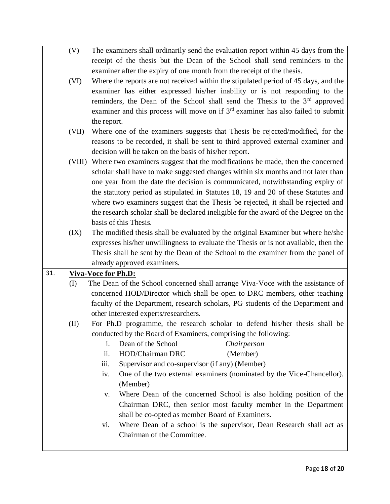|     | (V)   | The examiners shall ordinarily send the evaluation report within 45 days from the                             |
|-----|-------|---------------------------------------------------------------------------------------------------------------|
|     |       | receipt of the thesis but the Dean of the School shall send reminders to the                                  |
|     |       | examiner after the expiry of one month from the receipt of the thesis.                                        |
|     | (VI)  | Where the reports are not received within the stipulated period of 45 days, and the                           |
|     |       | examiner has either expressed his/her inability or is not responding to the                                   |
|     |       | reminders, the Dean of the School shall send the Thesis to the 3 <sup>rd</sup> approved                       |
|     |       | examiner and this process will move on if 3 <sup>rd</sup> examiner has also failed to submit                  |
|     |       | the report.                                                                                                   |
|     | (VII) | Where one of the examiners suggests that Thesis be rejected/modified, for the                                 |
|     |       | reasons to be recorded, it shall be sent to third approved external examiner and                              |
|     |       | decision will be taken on the basis of his/her report.                                                        |
|     |       | (VIII) Where two examiners suggest that the modifications be made, then the concerned                         |
|     |       | scholar shall have to make suggested changes within six months and not later than                             |
|     |       | one year from the date the decision is communicated, notwithstanding expiry of                                |
|     |       | the statutory period as stipulated in Statutes 18, 19 and 20 of these Statutes and                            |
|     |       |                                                                                                               |
|     |       | where two examiners suggest that the Thesis be rejected, it shall be rejected and                             |
|     |       | the research scholar shall be declared ineligible for the award of the Degree on the<br>basis of this Thesis. |
|     |       |                                                                                                               |
|     | (IX)  | The modified thesis shall be evaluated by the original Examiner but where he/she                              |
|     |       | expresses his/her unwillingness to evaluate the Thesis or is not available, then the                          |
|     |       | Thesis shall be sent by the Dean of the School to the examiner from the panel of                              |
|     |       | already approved examiners.                                                                                   |
| 31. |       | <b>Viva-Voce for Ph.D:</b>                                                                                    |
|     | (I)   | The Dean of the School concerned shall arrange Viva-Voce with the assistance of                               |
|     |       | concerned HOD/Director which shall be open to DRC members, other teaching                                     |
|     |       | faculty of the Department, research scholars, PG students of the Department and                               |
|     |       | other interested experts/researchers.                                                                         |
|     | (II)  | For Ph.D programme, the research scholar to defend his/her thesis shall be                                    |
|     |       | conducted by the Board of Examiners, comprising the following:                                                |
|     |       | Dean of the School<br>i.<br>Chairperson                                                                       |
|     |       | ii.<br>HOD/Chairman DRC<br>(Member)                                                                           |
|     |       | Supervisor and co-supervisor (if any) (Member)<br>iii.                                                        |
|     |       | One of the two external examiners (nominated by the Vice-Chancellor).<br>iv.                                  |
|     |       | (Member)                                                                                                      |
|     |       | Where Dean of the concerned School is also holding position of the<br>V.                                      |
|     |       | Chairman DRC, then senior most faculty member in the Department                                               |
|     |       | shall be co-opted as member Board of Examiners.                                                               |
|     |       | Where Dean of a school is the supervisor, Dean Research shall act as<br>vi.                                   |
|     |       | Chairman of the Committee.                                                                                    |
|     |       |                                                                                                               |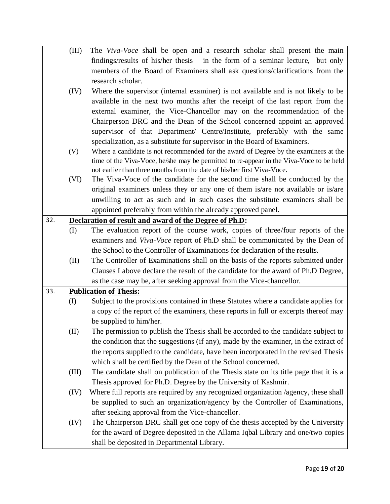|     | (III) | The Viva-Voce shall be open and a research scholar shall present the main               |
|-----|-------|-----------------------------------------------------------------------------------------|
|     |       | findings/results of his/her thesis in the form of a seminar lecture, but only           |
|     |       | members of the Board of Examiners shall ask questions/clarifications from the           |
|     |       | research scholar.                                                                       |
|     | (IV)  | Where the supervisor (internal examiner) is not available and is not likely to be       |
|     |       | available in the next two months after the receipt of the last report from the          |
|     |       | external examiner, the Vice-Chancellor may on the recommendation of the                 |
|     |       | Chairperson DRC and the Dean of the School concerned appoint an approved                |
|     |       | supervisor of that Department/ Centre/Institute, preferably with the same               |
|     |       | specialization, as a substitute for supervisor in the Board of Examiners.               |
|     | (V)   | Where a candidate is not recommended for the award of Degree by the examiners at the    |
|     |       | time of the Viva-Voce, he/she may be permitted to re-appear in the Viva-Voce to be held |
|     |       | not earlier than three months from the date of his/her first Viva-Voce.                 |
|     | (VI)  | The Viva-Voce of the candidate for the second time shall be conducted by the            |
|     |       | original examiners unless they or any one of them is/are not available or is/are        |
|     |       | unwilling to act as such and in such cases the substitute examiners shall be            |
|     |       | appointed preferably from within the already approved panel.                            |
| 32. |       | Declaration of result and award of the Degree of Ph.D:                                  |
|     | (I)   | The evaluation report of the course work, copies of three/four reports of the           |
|     |       | examiners and Viva-Voce report of Ph.D shall be communicated by the Dean of             |
|     |       | the School to the Controller of Examinations for declaration of the results.            |
|     | (II)  | The Controller of Examinations shall on the basis of the reports submitted under        |
|     |       | Clauses I above declare the result of the candidate for the award of Ph.D Degree,       |
|     |       | as the case may be, after seeking approval from the Vice-chancellor.                    |
| 33. |       | <b>Publication of Thesis:</b>                                                           |
|     | (I)   | Subject to the provisions contained in these Statutes where a candidate applies for     |
|     |       | a copy of the report of the examiners, these reports in full or excerpts thereof may    |
|     |       | be supplied to him/her.                                                                 |
|     | (II)  | The permission to publish the Thesis shall be accorded to the candidate subject to      |
|     |       | the condition that the suggestions (if any), made by the examiner, in the extract of    |
|     |       | the reports supplied to the candidate, have been incorporated in the revised Thesis     |
|     |       | which shall be certified by the Dean of the School concerned.                           |
|     | (III) | The candidate shall on publication of the Thesis state on its title page that it is a   |
|     |       | Thesis approved for Ph.D. Degree by the University of Kashmir.                          |
|     | (IV)  | Where full reports are required by any recognized organization /agency, these shall     |
|     |       | be supplied to such an organization/agency by the Controller of Examinations,           |
|     |       | after seeking approval from the Vice-chancellor.                                        |
|     | (IV)  | The Chairperson DRC shall get one copy of the thesis accepted by the University         |
|     |       | for the award of Degree deposited in the Allama Iqbal Library and one/two copies        |
|     |       | shall be deposited in Departmental Library.                                             |